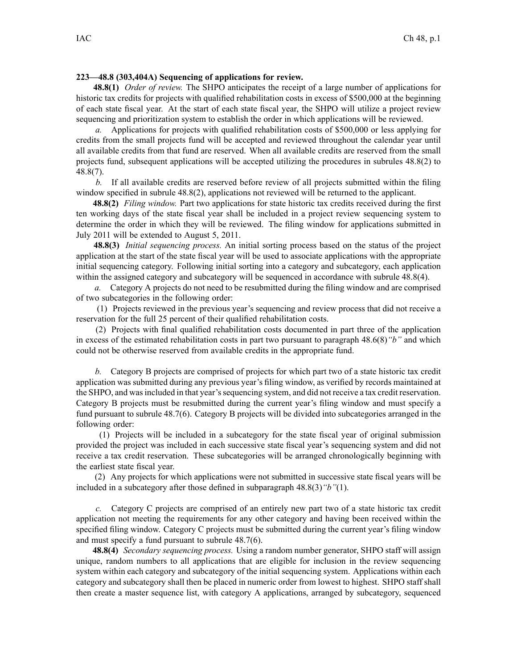## **223—48.8 (303,404A) Sequencing of applications for review.**

**48.8(1)** *Order of review.* The SHPO anticipates the receipt of <sup>a</sup> large number of applications for historic tax credits for projects with qualified rehabilitation costs in excess of \$500,000 at the beginning of each state fiscal year. At the start of each state fiscal year, the SHPO will utilize <sup>a</sup> project review sequencing and prioritization system to establish the order in which applications will be reviewed.

*a.* Applications for projects with qualified rehabilitation costs of \$500,000 or less applying for credits from the small projects fund will be accepted and reviewed throughout the calendar year until all available credits from that fund are reserved. When all available credits are reserved from the small projects fund, subsequent applications will be accepted utilizing the procedures in subrules 48.8(2) to 48.8(7).

*b.* If all available credits are reserved before review of all projects submitted within the filing window specified in subrule 48.8(2), applications not reviewed will be returned to the applicant.

**48.8(2)** *Filing window.* Part two applications for state historic tax credits received during the first ten working days of the state fiscal year shall be included in <sup>a</sup> project review sequencing system to determine the order in which they will be reviewed. The filing window for applications submitted in July 2011 will be extended to August 5, 2011.

**48.8(3)** *Initial sequencing process.* An initial sorting process based on the status of the project application at the start of the state fiscal year will be used to associate applications with the appropriate initial sequencing category. Following initial sorting into <sup>a</sup> category and subcategory, each application within the assigned category and subcategory will be sequenced in accordance with subrule 48.8(4).

*a.* Category A projects do not need to be resubmitted during the filing window and are comprised of two subcategories in the following order:

(1) Projects reviewed in the previous year's sequencing and review process that did not receive <sup>a</sup> reservation for the full 25 percen<sup>t</sup> of their qualified rehabilitation costs.

(2) Projects with final qualified rehabilitation costs documented in par<sup>t</sup> three of the application in excess of the estimated rehabilitation costs in par<sup>t</sup> two pursuan<sup>t</sup> to paragraph 48.6(8)*"b"* and which could not be otherwise reserved from available credits in the appropriate fund.

*b.* Category B projects are comprised of projects for which par<sup>t</sup> two of <sup>a</sup> state historic tax credit application was submitted during any previous year's filing window, as verified by records maintained at the SHPO, and wasincluded in that year'ssequencing system, and did not receive <sup>a</sup> tax credit reservation. Category B projects must be resubmitted during the current year's filing window and must specify <sup>a</sup> fund pursuan<sup>t</sup> to subrule 48.7(6). Category B projects will be divided into subcategories arranged in the following order:

(1) Projects will be included in <sup>a</sup> subcategory for the state fiscal year of original submission provided the project was included in each successive state fiscal year's sequencing system and did not receive <sup>a</sup> tax credit reservation. These subcategories will be arranged chronologically beginning with the earliest state fiscal year.

(2) Any projects for which applications were not submitted in successive state fiscal years will be included in <sup>a</sup> subcategory after those defined in subparagraph 48.8(3)*"b"*(1).

*c.* Category C projects are comprised of an entirely new par<sup>t</sup> two of <sup>a</sup> state historic tax credit application not meeting the requirements for any other category and having been received within the specified filing window. Category C projects must be submitted during the current year's filing window and must specify <sup>a</sup> fund pursuan<sup>t</sup> to subrule 48.7(6).

**48.8(4)** *Secondary sequencing process.* Using <sup>a</sup> random number generator, SHPO staff will assign unique, random numbers to all applications that are eligible for inclusion in the review sequencing system within each category and subcategory of the initial sequencing system. Applications within each category and subcategory shall then be placed in numeric order from lowest to highest. SHPO staff shall then create <sup>a</sup> master sequence list, with category A applications, arranged by subcategory, sequenced